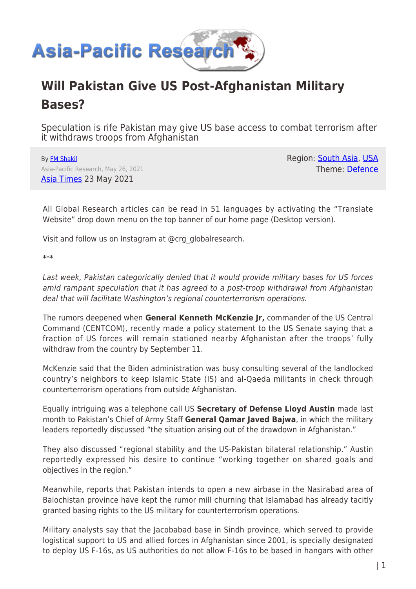

## **Will Pakistan Give US Post-Afghanistan Military Bases?**

Speculation is rife Pakistan may give US base access to combat terrorism after it withdraws troops from Afghanistan

By [FM Shakil](https://www.asia-pacificresearch.com/author/fm-shakil) Asia-Pacific Research, May 26, 2021 [Asia Times](https://asiatimes.com/2021/05/is-pakistan-poised-to-give-us-new-military-bases/) 23 May 2021

Region: [South Asia,](https://www.asia-pacificresearch.com/region/south-asia) [USA](https://www.asia-pacificresearch.com/region/usa) Theme: [Defence](https://www.asia-pacificresearch.com/theme/defence)

All Global Research articles can be read in 51 languages by activating the "Translate Website" drop down menu on the top banner of our home page (Desktop version).

Visit and follow us on Instagram at @crg\_globalresearch.

\*\*\*

Last week, Pakistan categorically denied that it would provide military bases for US forces amid rampant speculation that it has agreed to a post-troop withdrawal from Afghanistan deal that will facilitate Washington's regional counterterrorism operations.

The rumors deepened when **General Kenneth McKenzie Jr,** commander of the US Central Command (CENTCOM), recently made a policy statement to the US Senate saying that a fraction of US forces will remain stationed nearby Afghanistan after the troops' fully withdraw from the country by September 11.

McKenzie said that the Biden administration was busy consulting several of the landlocked country's neighbors to keep Islamic State (IS) and al-Qaeda militants in check through counterterrorism operations from outside Afghanistan.

Equally intriguing was a telephone call US **Secretary of Defense Lloyd Austin** made last month to Pakistan's Chief of Army Staff **General Qamar Javed Bajwa**, in which the military leaders reportedly discussed "the situation arising out of the drawdown in Afghanistan."

They also discussed "regional stability and the US-Pakistan bilateral relationship." Austin reportedly expressed his desire to continue "working together on shared goals and objectives in the region."

Meanwhile, reports that Pakistan intends to open a new airbase in the Nasirabad area of Balochistan province have kept the rumor mill churning that Islamabad has already tacitly granted basing rights to the US military for counterterrorism operations.

Military analysts say that the Jacobabad base in Sindh province, which served to provide logistical support to US and allied forces in Afghanistan since 2001, is specially designated to deploy US F-16s, as US authorities do not allow F-16s to be based in hangars with other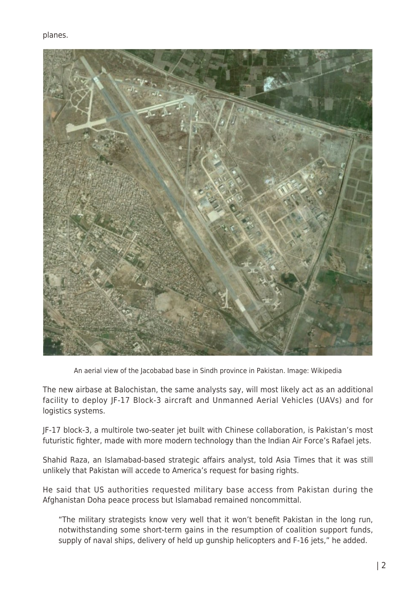

An aerial view of the Jacobabad base in Sindh province in Pakistan. Image: Wikipedia

The new airbase at Balochistan, the same analysts say, will most likely act as an additional facility to deploy JF-17 Block-3 aircraft and Unmanned Aerial Vehicles (UAVs) and for logistics systems.

JF-17 block-3, a multirole two-seater jet built with Chinese collaboration, is Pakistan's most futuristic fighter, made with more modern technology than the Indian Air Force's Rafael jets.

Shahid Raza, an Islamabad-based strategic affairs analyst, told Asia Times that it was still unlikely that Pakistan will accede to America's request for basing rights.

He said that US authorities requested military base access from Pakistan during the Afghanistan Doha peace process but Islamabad remained noncommittal.

"The military strategists know very well that it won't benefit Pakistan in the long run, notwithstanding some short-term gains in the resumption of coalition support funds, supply of naval ships, delivery of held up gunship helicopters and F-16 jets," he added.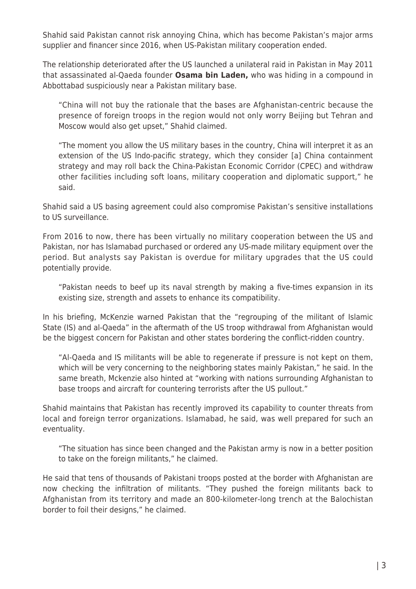Shahid said Pakistan cannot risk annoying China, which has become Pakistan's major arms supplier and financer since 2016, when US-Pakistan military cooperation ended.

The relationship deteriorated after the US launched a unilateral raid in Pakistan in May 2011 that assassinated al-Qaeda founder **Osama bin Laden,** who was hiding in a compound in Abbottabad suspiciously near a Pakistan military base.

"China will not buy the rationale that the bases are Afghanistan-centric because the presence of foreign troops in the region would not only worry Beijing but Tehran and Moscow would also get upset," Shahid claimed.

"The moment you allow the US military bases in the country, China will interpret it as an extension of the US Indo-pacific strategy, which they consider [a] China containment strategy and may roll back the China-Pakistan Economic Corridor (CPEC) and withdraw other facilities including soft loans, military cooperation and diplomatic support," he said.

Shahid said a US basing agreement could also compromise Pakistan's sensitive installations to US surveillance.

From 2016 to now, there has been virtually no military cooperation between the US and Pakistan, nor has Islamabad purchased or ordered any US-made military equipment over the period. But analysts say Pakistan is overdue for military upgrades that the US could potentially provide.

"Pakistan needs to beef up its naval strength by making a five-times expansion in its existing size, strength and assets to enhance its compatibility.

In his briefing, McKenzie warned Pakistan that the "regrouping of the militant of Islamic State (IS) and al-Qaeda" in the aftermath of the US troop withdrawal from Afghanistan would be the biggest concern for Pakistan and other states bordering the conflict-ridden country.

"Al-Qaeda and IS militants will be able to regenerate if pressure is not kept on them, which will be very concerning to the neighboring states mainly Pakistan," he said. In the same breath, Mckenzie also hinted at "working with nations surrounding Afghanistan to base troops and aircraft for countering terrorists after the US pullout."

Shahid maintains that Pakistan has recently improved its capability to counter threats from local and foreign terror organizations. Islamabad, he said, was well prepared for such an eventuality.

"The situation has since been changed and the Pakistan army is now in a better position to take on the foreign militants," he claimed.

He said that tens of thousands of Pakistani troops posted at the border with Afghanistan are now checking the infiltration of militants. "They pushed the foreign militants back to Afghanistan from its territory and made an 800-kilometer-long trench at the Balochistan border to foil their designs," he claimed.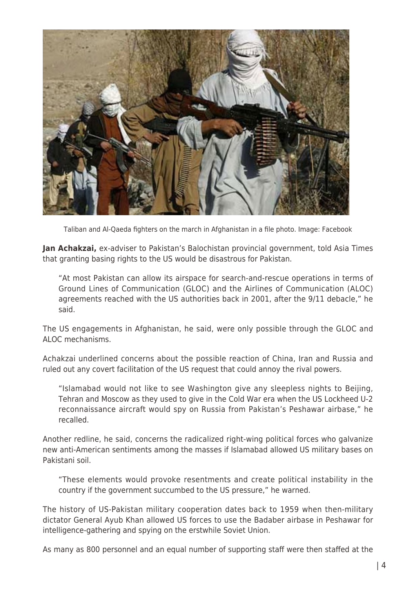

Taliban and Al-Qaeda fighters on the march in Afghanistan in a file photo. Image: Facebook

**Jan Achakzai,** ex-adviser to Pakistan's Balochistan provincial government, told Asia Times that granting basing rights to the US would be disastrous for Pakistan.

"At most Pakistan can allow its airspace for search-and-rescue operations in terms of Ground Lines of Communication (GLOC) and the Airlines of Communication (ALOC) agreements reached with the US authorities back in 2001, after the 9/11 debacle," he said.

The US engagements in Afghanistan, he said, were only possible through the GLOC and ALOC mechanisms.

Achakzai underlined concerns about the possible reaction of China, Iran and Russia and ruled out any covert facilitation of the US request that could annoy the rival powers.

"Islamabad would not like to see Washington give any sleepless nights to Beijing, Tehran and Moscow as they used to give in the Cold War era when the US Lockheed U-2 reconnaissance aircraft would spy on Russia from Pakistan's Peshawar airbase," he recalled.

Another redline, he said, concerns the radicalized right-wing political forces who galvanize new anti-American sentiments among the masses if Islamabad allowed US military bases on Pakistani soil.

"These elements would provoke resentments and create political instability in the country if the government succumbed to the US pressure," he warned.

The history of US-Pakistan military cooperation dates back to 1959 when then-military dictator General Ayub Khan allowed US forces to use the Badaber airbase in Peshawar for intelligence-gathering and spying on the erstwhile Soviet Union.

As many as 800 personnel and an equal number of supporting staff were then staffed at the